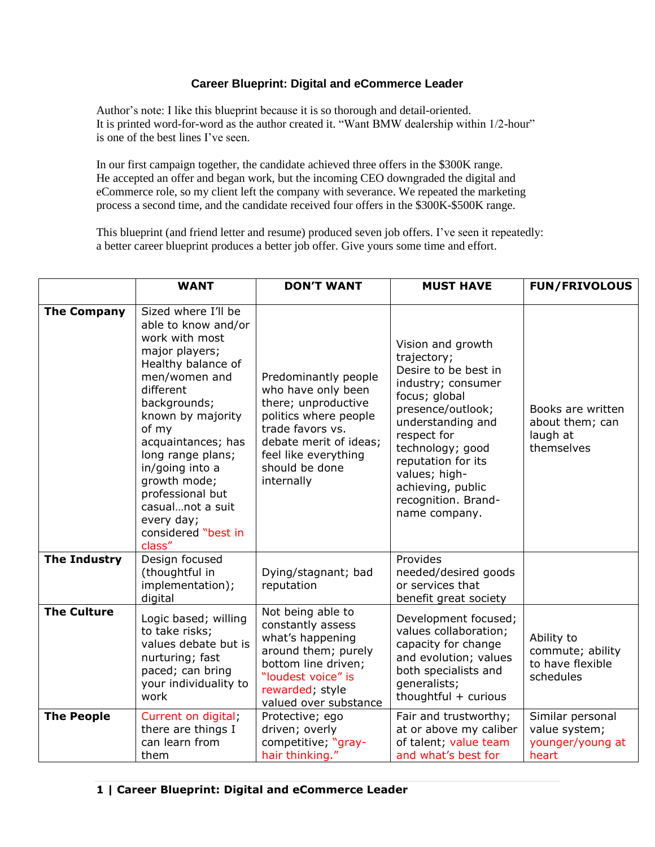## **Career Blueprint: Digital and eCommerce Leader**

Author's note: I like this blueprint because it is so thorough and detail-oriented. It is printed word-for-word as the author created it. "Want BMW dealership within 1/2-hour" is one of the best lines I've seen.

In our first campaign together, the candidate achieved three offers in the \$300K range. He accepted an offer and began work, but the incoming CEO downgraded the digital and eCommerce role, so my client left the company with severance. We repeated the marketing process a second time, and the candidate received four offers in the \$300K-\$500K range.

This blueprint (and friend letter and resume) produced seven job offers. I've seen it repeatedly: a better career blueprint produces a better job offer. Give yours some time and effort.

|                     | <b>WANT</b>                                                                                                                                                                                                                                                                                                                                           | <b>DON'T WANT</b>                                                                                                                                                                                | <b>MUST HAVE</b>                                                                                                                                                                                                                                                                 | <b>FUN/FRIVOLOUS</b>                                            |
|---------------------|-------------------------------------------------------------------------------------------------------------------------------------------------------------------------------------------------------------------------------------------------------------------------------------------------------------------------------------------------------|--------------------------------------------------------------------------------------------------------------------------------------------------------------------------------------------------|----------------------------------------------------------------------------------------------------------------------------------------------------------------------------------------------------------------------------------------------------------------------------------|-----------------------------------------------------------------|
| <b>The Company</b>  | Sized where I'll be<br>able to know and/or<br>work with most<br>major players;<br>Healthy balance of<br>men/women and<br>different<br>backgrounds;<br>known by majority<br>of my<br>acquaintances; has<br>long range plans;<br>in/going into a<br>growth mode;<br>professional but<br>casualnot a suit<br>every day;<br>considered "best in<br>class" | Predominantly people<br>who have only been<br>there; unproductive<br>politics where people<br>trade favors vs.<br>debate merit of ideas;<br>feel like everything<br>should be done<br>internally | Vision and growth<br>trajectory;<br>Desire to be best in<br>industry; consumer<br>focus; global<br>presence/outlook;<br>understanding and<br>respect for<br>technology; good<br>reputation for its<br>values; high-<br>achieving, public<br>recognition. Brand-<br>name company. | Books are written<br>about them; can<br>laugh at<br>themselves  |
| <b>The Industry</b> | Design focused<br>(thoughtful in<br>implementation);<br>digital                                                                                                                                                                                                                                                                                       | Dying/stagnant; bad<br>reputation                                                                                                                                                                | Provides<br>needed/desired goods<br>or services that<br>benefit great society                                                                                                                                                                                                    |                                                                 |
| <b>The Culture</b>  | Logic based; willing<br>to take risks;<br>values debate but is<br>nurturing; fast<br>paced; can bring<br>your individuality to<br>work                                                                                                                                                                                                                | Not being able to<br>constantly assess<br>what's happening<br>around them; purely<br>bottom line driven;<br>"loudest voice" is<br>rewarded; style<br>valued over substance                       | Development focused;<br>values collaboration;<br>capacity for change<br>and evolution; values<br>both specialists and<br>qeneralists;<br>thoughtful $+$ curious                                                                                                                  | Ability to<br>commute; ability<br>to have flexible<br>schedules |
| <b>The People</b>   | Current on digital;<br>there are things I<br>can learn from<br>them                                                                                                                                                                                                                                                                                   | Protective; ego<br>driven; overly<br>competitive; "gray-<br>hair thinking."                                                                                                                      | Fair and trustworthy;<br>at or above my caliber<br>of talent; value team<br>and what's best for                                                                                                                                                                                  | Similar personal<br>value system;<br>younger/young at<br>heart  |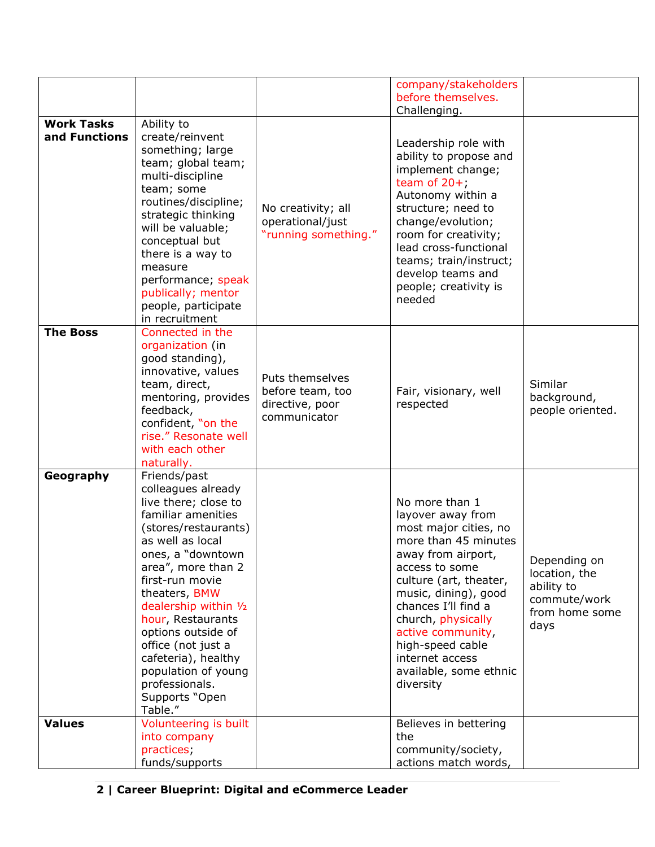|                                    |                                                                                                                                                                                                                                                                                                                                                                                                    |                                                                        | company/stakeholders<br>before themselves.<br>Challenging.                                                                                                                                                                                                                                                                     |                                                                                       |
|------------------------------------|----------------------------------------------------------------------------------------------------------------------------------------------------------------------------------------------------------------------------------------------------------------------------------------------------------------------------------------------------------------------------------------------------|------------------------------------------------------------------------|--------------------------------------------------------------------------------------------------------------------------------------------------------------------------------------------------------------------------------------------------------------------------------------------------------------------------------|---------------------------------------------------------------------------------------|
| <b>Work Tasks</b><br>and Functions | Ability to<br>create/reinvent<br>something; large<br>team; global team;<br>multi-discipline<br>team; some<br>routines/discipline;<br>strategic thinking<br>will be valuable;<br>conceptual but<br>there is a way to<br>measure<br>performance; speak<br>publically; mentor<br>people, participate<br>in recruitment                                                                                | No creativity; all<br>operational/just<br>"running something."         | Leadership role with<br>ability to propose and<br>implement change;<br>team of $20+$ ;<br>Autonomy within a<br>structure; need to<br>change/evolution;<br>room for creativity;<br>lead cross-functional<br>teams; train/instruct;<br>develop teams and<br>people; creativity is<br>needed                                      |                                                                                       |
| <b>The Boss</b>                    | Connected in the<br>organization (in<br>good standing),<br>innovative, values<br>team, direct,<br>mentoring, provides<br>feedback,<br>confident, "on the<br>rise." Resonate well<br>with each other<br>naturally.                                                                                                                                                                                  | Puts themselves<br>before team, too<br>directive, poor<br>communicator | Fair, visionary, well<br>respected                                                                                                                                                                                                                                                                                             | Similar<br>background,<br>people oriented.                                            |
| Geography                          | Friends/past<br>colleagues already<br>live there; close to<br>familiar amenities<br>(stores/restaurants)<br>as well as local<br>ones, a "downtown<br>area", more than 2<br>first-run movie<br>theaters, BMW<br>dealership within 1/2<br>hour, Restaurants<br>options outside of<br>office (not just a<br>cafeteria), healthy<br>population of young<br>professionals.<br>Supports "Open<br>Table." |                                                                        | No more than 1<br>layover away from<br>most major cities, no<br>more than 45 minutes<br>away from airport,<br>access to some<br>culture (art, theater,<br>music, dining), good<br>chances I'll find a<br>church, physically<br>active community,<br>high-speed cable<br>internet access<br>available, some ethnic<br>diversity | Depending on<br>location, the<br>ability to<br>commute/work<br>from home some<br>days |
| <b>Values</b>                      | Volunteering is built<br>into company<br>practices;<br>funds/supports                                                                                                                                                                                                                                                                                                                              |                                                                        | Believes in bettering<br>the<br>community/society,<br>actions match words,                                                                                                                                                                                                                                                     |                                                                                       |